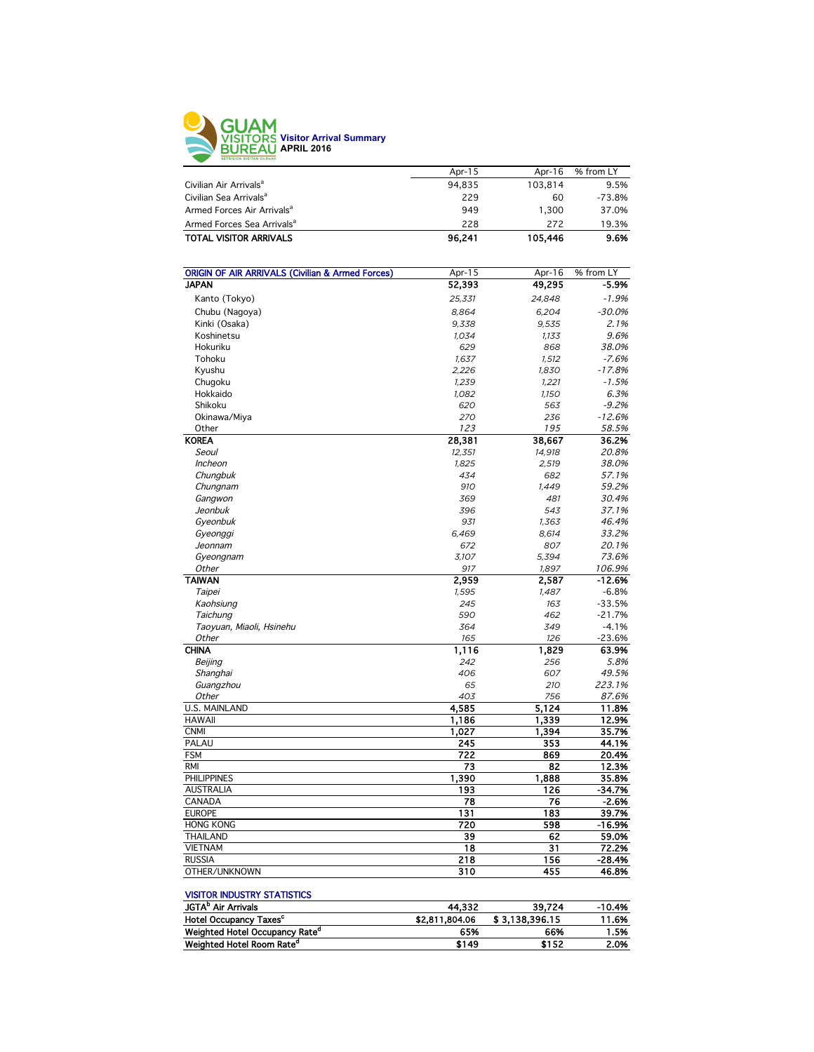

|                                        | Apr-15 | Apr-16  | % from LY |
|----------------------------------------|--------|---------|-----------|
| Civilian Air Arrivals <sup>a</sup>     | 94.835 | 103.814 | 9.5%      |
| Civilian Sea Arrivals <sup>a</sup>     | 229    | 60      | $-73.8%$  |
| Armed Forces Air Arrivals <sup>a</sup> | 949    | 1.300   | 37.0%     |
| Armed Forces Sea Arrivals <sup>a</sup> | 228    | 272     | 19.3%     |
| <b>TOTAL VISITOR ARRIVALS</b>          | 96.241 | 105.446 | 9.6%      |
|                                        |        |         |           |

| <b>ORIGIN OF AIR ARRIVALS (Civilian &amp; Armed Forces)</b> | Apr-15 | Apr-16 | % from LY |
|-------------------------------------------------------------|--------|--------|-----------|
| <b>JAPAN</b>                                                | 52,393 | 49,295 | $-5.9%$   |
| Kanto (Tokyo)                                               | 25,331 | 24,848 | $-1.9%$   |
| Chubu (Nagoya)                                              | 8,864  | 6,204  | $-30.0%$  |
| Kinki (Osaka)                                               | 9,338  | 9,535  | 2.1%      |
| Koshinetsu                                                  | 1,034  | 1,133  | 9.6%      |
| Hokuriku                                                    | 629    | 868    | 38.0%     |
| Tohoku                                                      | 1,637  | 1,512  | $-7.6%$   |
| Kyushu                                                      | 2,226  | 1,830  | $-17.8%$  |
| Chugoku                                                     | 1,239  | 1,221  | $-1.5%$   |
| Hokkaido                                                    | 1,082  | 1,150  | 6.3%      |
| Shikoku                                                     | 620    | 563    | $-9.2%$   |
| Okinawa/Miya                                                | 270    | 236    | $-12.6%$  |
| Other                                                       | 123    | 195    | 58.5%     |
| <b>KOREA</b>                                                | 28,381 | 38,667 | 36.2%     |
| Seoul                                                       | 12,351 | 14,918 | 20.8%     |
| <b>Incheon</b>                                              | 1,825  | 2,519  | 38.0%     |
| Chungbuk                                                    | 434    | 682    | 57.1%     |
| Chungnam                                                    | 910    | 1,449  | 59.2%     |
| Gangwon                                                     | 369    | 481    | 30.4%     |
| Jeonbuk                                                     | 396    | 543    | 37.1%     |
| Gyeonbuk                                                    | 931    | 1,363  | 46.4%     |
| Gyeonggi                                                    | 6,469  | 8,614  | 33.2%     |
| Jeonnam                                                     | 672    | 807    | 20.1%     |
| Gyeongnam                                                   | 3,107  | 5,394  | 73.6%     |
| <b>Other</b>                                                | 917    | 1,897  | 106.9%    |
| <b>TAIWAN</b>                                               | 2,959  | 2,587  | $-12.6%$  |
| Taipei                                                      | 1,595  | 1.487  | $-6.8%$   |
| Kaohsiung                                                   | 245    | 163    | $-33.5%$  |
| Taichung                                                    | 590    | 462    | $-21.7%$  |
| Taoyuan, Miaoli, Hsinehu                                    | 364    | 349    | $-4.1%$   |
| <b>Other</b>                                                | 165    | 126    | $-23.6%$  |
| <b>CHINA</b>                                                | 1,116  | 1,829  | 63.9%     |
| Beijing                                                     | 242    | 256    | 5.8%      |
| Shanghai                                                    | 406    | 607    | 49.5%     |
| Guangzhou                                                   | 65     | 210    | 223.1%    |
| Other                                                       | 403    | 756    | 87.6%     |
| <b>U.S. MAINLAND</b>                                        | 4,585  | 5,124  | 11.8%     |
| <b>HAWAII</b>                                               | 1,186  | 1,339  | 12.9%     |
| <b>CNMI</b>                                                 | 1,027  | 1,394  | 35.7%     |
| PALAU                                                       | 245    | 353    | 44.1%     |
| <b>FSM</b>                                                  | 722    | 869    | 20.4%     |
| <b>RMI</b>                                                  | 73     | 82     | 12.3%     |
| <b>PHILIPPINES</b>                                          | 1,390  | 1,888  | 35.8%     |
| <b>AUSTRALIA</b>                                            | 193    | 126    | $-34.7%$  |
| CANADA                                                      | 78     | 76     | $-2.6%$   |
| <b>EUROPE</b>                                               | 131    | 183    | 39.7%     |
| <b>HONG KONG</b>                                            | 720    | 598    | $-16.9%$  |
| <b>THAILAND</b>                                             | 39     | 62     | 59.0%     |
| <b>VIETNAM</b>                                              | 18     | 31     | 72.2%     |
|                                                             | 218    | 156    | $-28.4%$  |
| <b>RUSSIA</b>                                               |        | 455    |           |
| OTHER/UNKNOWN                                               | 310    |        | 46.8%     |

## VISITOR INDUSTRY STATISTICS

| 44.332         | 39.724         | -10.4% |
|----------------|----------------|--------|
| \$2,811,804.06 | \$3.138.396.15 | 11.6%  |
| 65%            | 66%            | 1.5%   |
| \$149          | \$152          | 2.0%   |
|                |                |        |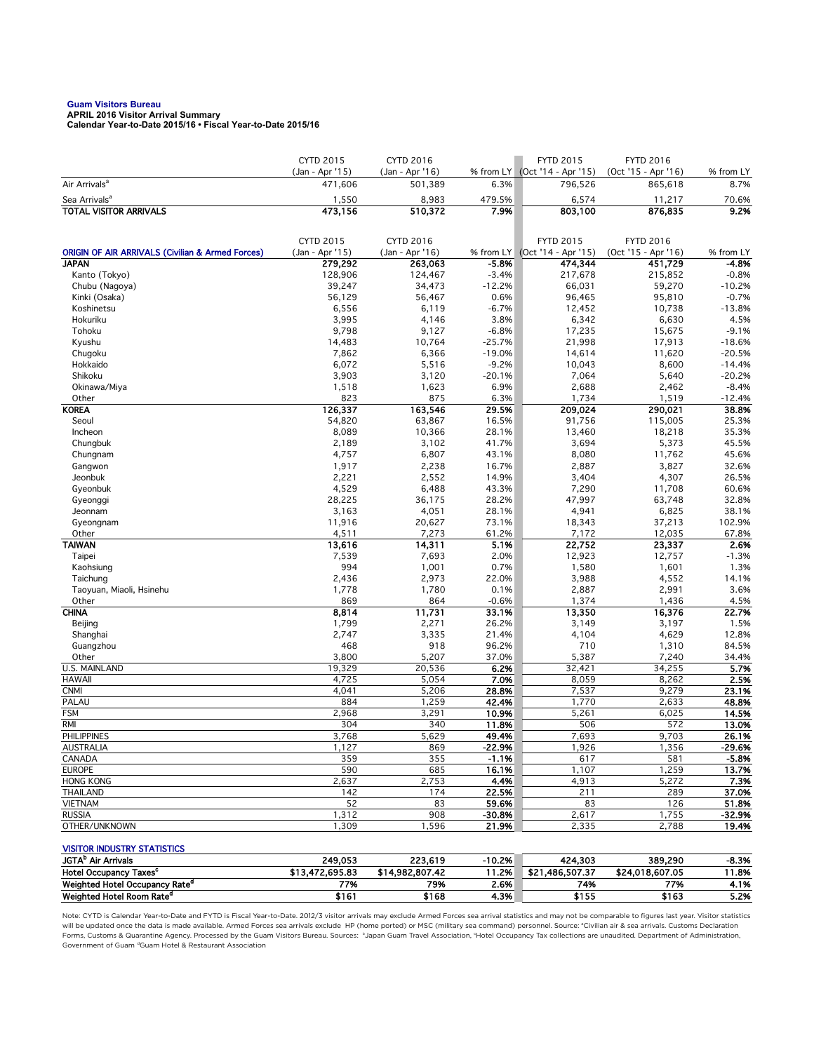**Guam Visitors Bureau APRIL 2016 Visitor Arrival Summary Calendar Year-to-Date 2015/16 • Fiscal Year-to-Date 2015/16** 

| (Jan - Apr '15)<br>% from LY (Oct '14 - Apr '15)<br>(Oct '15 - Apr '16)<br>(Jan - Apr '16)<br>% from LY<br>8.7%<br>Air Arrivals <sup>a</sup><br>471,606<br>501,389<br>6.3%<br>796,526<br>865,618<br>479.5%<br>6,574<br>70.6%<br>Sea Arrivals <sup>a</sup><br>1,550<br>8,983<br>11,217<br><b>TOTAL VISITOR ARRIVALS</b><br>473,156<br>510,372<br>7.9%<br>803,100<br>876,835<br>9.2%<br>CYTD 2015<br>CYTD 2016<br><b>FYTD 2015</b><br><b>FYTD 2016</b><br>(Jan - Apr '15)<br><b>ORIGIN OF AIR ARRIVALS (Civilian &amp; Armed Forces)</b><br>(Jan - Apr '16)<br>(Oct '14 - Apr '15)<br>(Oct '15 - Apr '16)<br>% from LY<br>% from LY<br><b>JAPAN</b><br>$-5.8%$<br>279,292<br>263,063<br>474,344<br>451,729<br>-4.8%<br>128,906<br>$-3.4%$<br>Kanto (Tokyo)<br>124,467<br>217,678<br>215,852<br>$-0.8%$<br>$-12.2%$<br>Chubu (Nagoya)<br>39,247<br>34,473<br>66,031<br>59,270<br>$-10.2%$<br>$-0.7%$<br>Kinki (Osaka)<br>56,129<br>56,467<br>0.6%<br>96,465<br>95,810<br>$-6.7%$<br>12,452<br>$-13.8%$<br>Koshinetsu<br>6,556<br>6,119<br>10,738<br>3,995<br>Hokuriku<br>4,146<br>3.8%<br>6,342<br>6,630<br>4.5%<br>9,798<br>9,127<br>$-6.8%$<br>17,235<br>$-9.1%$<br>Tohoku<br>15,675<br>$-25.7%$<br>21,998<br>17,913<br>$-18.6%$<br>Kyushu<br>14,483<br>10,764<br>7,862<br>6,366<br>$-19.0%$<br>14,614<br>11,620<br>$-20.5%$<br>Chugoku<br>Hokkaido<br>6,072<br>5,516<br>$-9.2%$<br>10,043<br>8,600<br>$-14.4%$<br>7,064<br>$-20.2%$<br>Shikoku<br>3,903<br>3,120<br>$-20.1%$<br>5,640<br>1,623<br>6.9%<br>$-8.4%$<br>Okinawa/Miya<br>1,518<br>2,688<br>2,462<br>823<br>875<br>1,734<br>Other<br>6.3%<br>1,519<br>$-12.4%$<br><b>KOREA</b><br>126,337<br>163,546<br>29.5%<br>209,024<br>290,021<br>38.8%<br>Seoul<br>54,820<br>63,867<br>16.5%<br>91,756<br>115,005<br>25.3%<br>Incheon<br>8,089<br>10,366<br>28.1%<br>13,460<br>18,218<br>35.3%<br>3,102<br>45.5%<br>2,189<br>41.7%<br>3,694<br>5,373<br>Chungbuk<br>43.1%<br>45.6%<br>4,757<br>6,807<br>8,080<br>11,762<br>Chungnam<br>1,917<br>2,238<br>16.7%<br>3,827<br>32.6%<br>2,887<br>Gangwon<br>2,221<br>14.9%<br>4,307<br>26.5%<br>Jeonbuk<br>2,552<br>3,404<br>4,529<br>6,488<br>43.3%<br>7,290<br>11,708<br>60.6%<br>Gyeonbuk<br>28.2%<br>28,225<br>36,175<br>47,997<br>63,748<br>32.8%<br>Gyeonggi<br>3,163<br>4,051<br>28.1%<br>4,941<br>6,825<br>38.1%<br>Jeonnam<br>11,916<br>73.1%<br>37,213<br>20,627<br>18,343<br>102.9%<br>Gyeongnam<br>4,511<br>7,273<br>61.2%<br>12,035<br>67.8%<br>Other<br>7,172<br>5.1%<br><b>TAIWAN</b><br>13,616<br>14,311<br>22,752<br>23,337<br>2.6%<br>Taipei<br>7,539<br>7,693<br>2.0%<br>12,923<br>12,757<br>$-1.3%$<br>994<br>1,001<br>1.3%<br>0.7%<br>1,580<br>1,601<br>Kaohsiung<br>22.0%<br>4,552<br>14.1%<br>2,436<br>2,973<br>3,988<br>Taichung<br>1,780<br>0.1%<br>2,991<br>3.6%<br>1,778<br>2,887<br>Taoyuan, Miaoli, Hsinehu<br>864<br>1,374<br>4.5%<br>869<br>$-0.6%$<br>1,436<br>Other<br><b>CHINA</b><br>33.1%<br>22.7%<br>8,814<br>11,731<br>13,350<br>16,376<br>1,799<br>2,271<br>26.2%<br>3,197<br>1.5%<br>3,149<br>Beijing<br>2,747<br>3,335<br>4,629<br>12.8%<br>Shanghai<br>21.4%<br>4,104<br>918<br>96.2%<br>84.5%<br>468<br>710<br>1,310<br>Guangzhou<br>3,800<br>5,207<br>37.0%<br>5,387<br>7,240<br>Other<br>34.4%<br>6.2%<br><b>U.S. MAINLAND</b><br>19,329<br>20,536<br>32,421<br>34,255<br>5.7%<br>7.0%<br><b>HAWAII</b><br>4,725<br>5,054<br>8,059<br>8,262<br>2.5%<br><b>CNMI</b><br>4,041<br>5,206<br>28.8%<br>7,537<br>9,279<br>23.1%<br>PALAU<br>884<br>1,259<br>42.4%<br>1,770<br>48.8%<br>2,633<br>10.9%<br><b>FSM</b><br>2,968<br>3,291<br>5,261<br>6,025<br>14.5%<br><b>RMI</b><br>304<br>506<br>340<br>11.8%<br>572<br>13.0%<br><b>PHILIPPINES</b><br>3,768<br>5,629<br>49.4%<br>7,693<br>9,703<br>26.1%<br>AUSTRALIA<br>1,127<br>869<br>$-22.9%$<br>1,926<br>1,356<br>-29.6%<br>355<br>CANADA<br>359<br>$-1.1%$<br>617<br>581<br>$-5.8%$<br><b>EUROPE</b><br>590<br>685<br>16.1%<br>1,107<br>1,259<br>13.7%<br><b>HONG KONG</b><br>2,637<br>2,753<br>4.4%<br>4,913<br>5,272<br>7.3%<br><b>THAILAND</b><br>142<br>174<br>22.5%<br>289<br>211<br>59.6%<br><b>VIETNAM</b><br>52<br>83<br>126<br>83<br><b>RUSSIA</b><br>1,312<br>908<br>$-30.8%$<br>2,617<br>1,755<br>$-32.9%$<br>OTHER/UNKNOWN<br>1,309<br>1,596<br>21.9%<br>2,335<br>2,788<br>19.4%<br><b>VISITOR INDUSTRY STATISTICS</b><br>JGTA <sup>b</sup> Air Arrivals<br>249,053<br>$-10.2%$<br>223,619<br>424,303<br>389,290<br>$-8.3%$<br>Hotel Occupancy Taxes <sup>c</sup><br>\$13,472,695.83<br>\$14,982,807.42<br>11.2%<br>\$21,486,507.37<br>\$24,018,607.05<br>11.8%<br>Weighted Hotel Occupancy Rate <sup>d</sup><br>79%<br>2.6%<br>77%<br>74%<br>77%<br>4.1% | CYTD 2015 | <b>CYTD 2016</b> | <b>FYTD 2015</b> | <b>FYTD 2016</b> |       |
|----------------------------------------------------------------------------------------------------------------------------------------------------------------------------------------------------------------------------------------------------------------------------------------------------------------------------------------------------------------------------------------------------------------------------------------------------------------------------------------------------------------------------------------------------------------------------------------------------------------------------------------------------------------------------------------------------------------------------------------------------------------------------------------------------------------------------------------------------------------------------------------------------------------------------------------------------------------------------------------------------------------------------------------------------------------------------------------------------------------------------------------------------------------------------------------------------------------------------------------------------------------------------------------------------------------------------------------------------------------------------------------------------------------------------------------------------------------------------------------------------------------------------------------------------------------------------------------------------------------------------------------------------------------------------------------------------------------------------------------------------------------------------------------------------------------------------------------------------------------------------------------------------------------------------------------------------------------------------------------------------------------------------------------------------------------------------------------------------------------------------------------------------------------------------------------------------------------------------------------------------------------------------------------------------------------------------------------------------------------------------------------------------------------------------------------------------------------------------------------------------------------------------------------------------------------------------------------------------------------------------------------------------------------------------------------------------------------------------------------------------------------------------------------------------------------------------------------------------------------------------------------------------------------------------------------------------------------------------------------------------------------------------------------------------------------------------------------------------------------------------------------------------------------------------------------------------------------------------------------------------------------------------------------------------------------------------------------------------------------------------------------------------------------------------------------------------------------------------------------------------------------------------------------------------------------------------------------------------------------------------------------------------------------------------------------------------------------------------------------------------------------------------------------------------------------------------------------------------------------------------------------------------------------------------------------------------------------------------------------------------------------------------------------------------------------------------------------------------------------------------------------------------------------------------------------------------------------------------------------------------------------------------------------------------------------------------------------------------------------------------------------------------------------------------------------------------------------------------------------------------------------------------------------------------------------------------------------------------------------------------------------------------------------|-----------|------------------|------------------|------------------|-------|
|                                                                                                                                                                                                                                                                                                                                                                                                                                                                                                                                                                                                                                                                                                                                                                                                                                                                                                                                                                                                                                                                                                                                                                                                                                                                                                                                                                                                                                                                                                                                                                                                                                                                                                                                                                                                                                                                                                                                                                                                                                                                                                                                                                                                                                                                                                                                                                                                                                                                                                                                                                                                                                                                                                                                                                                                                                                                                                                                                                                                                                                                                                                                                                                                                                                                                                                                                                                                                                                                                                                                                                                                                                                                                                                                                                                                                                                                                                                                                                                                                                                                                                                                                                                                                                                                                                                                                                                                                                                                                                                                                                                                                                                                |           |                  |                  |                  |       |
|                                                                                                                                                                                                                                                                                                                                                                                                                                                                                                                                                                                                                                                                                                                                                                                                                                                                                                                                                                                                                                                                                                                                                                                                                                                                                                                                                                                                                                                                                                                                                                                                                                                                                                                                                                                                                                                                                                                                                                                                                                                                                                                                                                                                                                                                                                                                                                                                                                                                                                                                                                                                                                                                                                                                                                                                                                                                                                                                                                                                                                                                                                                                                                                                                                                                                                                                                                                                                                                                                                                                                                                                                                                                                                                                                                                                                                                                                                                                                                                                                                                                                                                                                                                                                                                                                                                                                                                                                                                                                                                                                                                                                                                                |           |                  |                  |                  |       |
|                                                                                                                                                                                                                                                                                                                                                                                                                                                                                                                                                                                                                                                                                                                                                                                                                                                                                                                                                                                                                                                                                                                                                                                                                                                                                                                                                                                                                                                                                                                                                                                                                                                                                                                                                                                                                                                                                                                                                                                                                                                                                                                                                                                                                                                                                                                                                                                                                                                                                                                                                                                                                                                                                                                                                                                                                                                                                                                                                                                                                                                                                                                                                                                                                                                                                                                                                                                                                                                                                                                                                                                                                                                                                                                                                                                                                                                                                                                                                                                                                                                                                                                                                                                                                                                                                                                                                                                                                                                                                                                                                                                                                                                                |           |                  |                  |                  |       |
|                                                                                                                                                                                                                                                                                                                                                                                                                                                                                                                                                                                                                                                                                                                                                                                                                                                                                                                                                                                                                                                                                                                                                                                                                                                                                                                                                                                                                                                                                                                                                                                                                                                                                                                                                                                                                                                                                                                                                                                                                                                                                                                                                                                                                                                                                                                                                                                                                                                                                                                                                                                                                                                                                                                                                                                                                                                                                                                                                                                                                                                                                                                                                                                                                                                                                                                                                                                                                                                                                                                                                                                                                                                                                                                                                                                                                                                                                                                                                                                                                                                                                                                                                                                                                                                                                                                                                                                                                                                                                                                                                                                                                                                                |           |                  |                  |                  |       |
|                                                                                                                                                                                                                                                                                                                                                                                                                                                                                                                                                                                                                                                                                                                                                                                                                                                                                                                                                                                                                                                                                                                                                                                                                                                                                                                                                                                                                                                                                                                                                                                                                                                                                                                                                                                                                                                                                                                                                                                                                                                                                                                                                                                                                                                                                                                                                                                                                                                                                                                                                                                                                                                                                                                                                                                                                                                                                                                                                                                                                                                                                                                                                                                                                                                                                                                                                                                                                                                                                                                                                                                                                                                                                                                                                                                                                                                                                                                                                                                                                                                                                                                                                                                                                                                                                                                                                                                                                                                                                                                                                                                                                                                                |           |                  |                  |                  |       |
|                                                                                                                                                                                                                                                                                                                                                                                                                                                                                                                                                                                                                                                                                                                                                                                                                                                                                                                                                                                                                                                                                                                                                                                                                                                                                                                                                                                                                                                                                                                                                                                                                                                                                                                                                                                                                                                                                                                                                                                                                                                                                                                                                                                                                                                                                                                                                                                                                                                                                                                                                                                                                                                                                                                                                                                                                                                                                                                                                                                                                                                                                                                                                                                                                                                                                                                                                                                                                                                                                                                                                                                                                                                                                                                                                                                                                                                                                                                                                                                                                                                                                                                                                                                                                                                                                                                                                                                                                                                                                                                                                                                                                                                                |           |                  |                  |                  |       |
|                                                                                                                                                                                                                                                                                                                                                                                                                                                                                                                                                                                                                                                                                                                                                                                                                                                                                                                                                                                                                                                                                                                                                                                                                                                                                                                                                                                                                                                                                                                                                                                                                                                                                                                                                                                                                                                                                                                                                                                                                                                                                                                                                                                                                                                                                                                                                                                                                                                                                                                                                                                                                                                                                                                                                                                                                                                                                                                                                                                                                                                                                                                                                                                                                                                                                                                                                                                                                                                                                                                                                                                                                                                                                                                                                                                                                                                                                                                                                                                                                                                                                                                                                                                                                                                                                                                                                                                                                                                                                                                                                                                                                                                                |           |                  |                  |                  |       |
|                                                                                                                                                                                                                                                                                                                                                                                                                                                                                                                                                                                                                                                                                                                                                                                                                                                                                                                                                                                                                                                                                                                                                                                                                                                                                                                                                                                                                                                                                                                                                                                                                                                                                                                                                                                                                                                                                                                                                                                                                                                                                                                                                                                                                                                                                                                                                                                                                                                                                                                                                                                                                                                                                                                                                                                                                                                                                                                                                                                                                                                                                                                                                                                                                                                                                                                                                                                                                                                                                                                                                                                                                                                                                                                                                                                                                                                                                                                                                                                                                                                                                                                                                                                                                                                                                                                                                                                                                                                                                                                                                                                                                                                                |           |                  |                  |                  |       |
|                                                                                                                                                                                                                                                                                                                                                                                                                                                                                                                                                                                                                                                                                                                                                                                                                                                                                                                                                                                                                                                                                                                                                                                                                                                                                                                                                                                                                                                                                                                                                                                                                                                                                                                                                                                                                                                                                                                                                                                                                                                                                                                                                                                                                                                                                                                                                                                                                                                                                                                                                                                                                                                                                                                                                                                                                                                                                                                                                                                                                                                                                                                                                                                                                                                                                                                                                                                                                                                                                                                                                                                                                                                                                                                                                                                                                                                                                                                                                                                                                                                                                                                                                                                                                                                                                                                                                                                                                                                                                                                                                                                                                                                                |           |                  |                  |                  |       |
|                                                                                                                                                                                                                                                                                                                                                                                                                                                                                                                                                                                                                                                                                                                                                                                                                                                                                                                                                                                                                                                                                                                                                                                                                                                                                                                                                                                                                                                                                                                                                                                                                                                                                                                                                                                                                                                                                                                                                                                                                                                                                                                                                                                                                                                                                                                                                                                                                                                                                                                                                                                                                                                                                                                                                                                                                                                                                                                                                                                                                                                                                                                                                                                                                                                                                                                                                                                                                                                                                                                                                                                                                                                                                                                                                                                                                                                                                                                                                                                                                                                                                                                                                                                                                                                                                                                                                                                                                                                                                                                                                                                                                                                                |           |                  |                  |                  |       |
|                                                                                                                                                                                                                                                                                                                                                                                                                                                                                                                                                                                                                                                                                                                                                                                                                                                                                                                                                                                                                                                                                                                                                                                                                                                                                                                                                                                                                                                                                                                                                                                                                                                                                                                                                                                                                                                                                                                                                                                                                                                                                                                                                                                                                                                                                                                                                                                                                                                                                                                                                                                                                                                                                                                                                                                                                                                                                                                                                                                                                                                                                                                                                                                                                                                                                                                                                                                                                                                                                                                                                                                                                                                                                                                                                                                                                                                                                                                                                                                                                                                                                                                                                                                                                                                                                                                                                                                                                                                                                                                                                                                                                                                                |           |                  |                  |                  |       |
|                                                                                                                                                                                                                                                                                                                                                                                                                                                                                                                                                                                                                                                                                                                                                                                                                                                                                                                                                                                                                                                                                                                                                                                                                                                                                                                                                                                                                                                                                                                                                                                                                                                                                                                                                                                                                                                                                                                                                                                                                                                                                                                                                                                                                                                                                                                                                                                                                                                                                                                                                                                                                                                                                                                                                                                                                                                                                                                                                                                                                                                                                                                                                                                                                                                                                                                                                                                                                                                                                                                                                                                                                                                                                                                                                                                                                                                                                                                                                                                                                                                                                                                                                                                                                                                                                                                                                                                                                                                                                                                                                                                                                                                                |           |                  |                  |                  |       |
|                                                                                                                                                                                                                                                                                                                                                                                                                                                                                                                                                                                                                                                                                                                                                                                                                                                                                                                                                                                                                                                                                                                                                                                                                                                                                                                                                                                                                                                                                                                                                                                                                                                                                                                                                                                                                                                                                                                                                                                                                                                                                                                                                                                                                                                                                                                                                                                                                                                                                                                                                                                                                                                                                                                                                                                                                                                                                                                                                                                                                                                                                                                                                                                                                                                                                                                                                                                                                                                                                                                                                                                                                                                                                                                                                                                                                                                                                                                                                                                                                                                                                                                                                                                                                                                                                                                                                                                                                                                                                                                                                                                                                                                                |           |                  |                  |                  |       |
|                                                                                                                                                                                                                                                                                                                                                                                                                                                                                                                                                                                                                                                                                                                                                                                                                                                                                                                                                                                                                                                                                                                                                                                                                                                                                                                                                                                                                                                                                                                                                                                                                                                                                                                                                                                                                                                                                                                                                                                                                                                                                                                                                                                                                                                                                                                                                                                                                                                                                                                                                                                                                                                                                                                                                                                                                                                                                                                                                                                                                                                                                                                                                                                                                                                                                                                                                                                                                                                                                                                                                                                                                                                                                                                                                                                                                                                                                                                                                                                                                                                                                                                                                                                                                                                                                                                                                                                                                                                                                                                                                                                                                                                                |           |                  |                  |                  |       |
|                                                                                                                                                                                                                                                                                                                                                                                                                                                                                                                                                                                                                                                                                                                                                                                                                                                                                                                                                                                                                                                                                                                                                                                                                                                                                                                                                                                                                                                                                                                                                                                                                                                                                                                                                                                                                                                                                                                                                                                                                                                                                                                                                                                                                                                                                                                                                                                                                                                                                                                                                                                                                                                                                                                                                                                                                                                                                                                                                                                                                                                                                                                                                                                                                                                                                                                                                                                                                                                                                                                                                                                                                                                                                                                                                                                                                                                                                                                                                                                                                                                                                                                                                                                                                                                                                                                                                                                                                                                                                                                                                                                                                                                                |           |                  |                  |                  |       |
|                                                                                                                                                                                                                                                                                                                                                                                                                                                                                                                                                                                                                                                                                                                                                                                                                                                                                                                                                                                                                                                                                                                                                                                                                                                                                                                                                                                                                                                                                                                                                                                                                                                                                                                                                                                                                                                                                                                                                                                                                                                                                                                                                                                                                                                                                                                                                                                                                                                                                                                                                                                                                                                                                                                                                                                                                                                                                                                                                                                                                                                                                                                                                                                                                                                                                                                                                                                                                                                                                                                                                                                                                                                                                                                                                                                                                                                                                                                                                                                                                                                                                                                                                                                                                                                                                                                                                                                                                                                                                                                                                                                                                                                                |           |                  |                  |                  |       |
|                                                                                                                                                                                                                                                                                                                                                                                                                                                                                                                                                                                                                                                                                                                                                                                                                                                                                                                                                                                                                                                                                                                                                                                                                                                                                                                                                                                                                                                                                                                                                                                                                                                                                                                                                                                                                                                                                                                                                                                                                                                                                                                                                                                                                                                                                                                                                                                                                                                                                                                                                                                                                                                                                                                                                                                                                                                                                                                                                                                                                                                                                                                                                                                                                                                                                                                                                                                                                                                                                                                                                                                                                                                                                                                                                                                                                                                                                                                                                                                                                                                                                                                                                                                                                                                                                                                                                                                                                                                                                                                                                                                                                                                                |           |                  |                  |                  |       |
|                                                                                                                                                                                                                                                                                                                                                                                                                                                                                                                                                                                                                                                                                                                                                                                                                                                                                                                                                                                                                                                                                                                                                                                                                                                                                                                                                                                                                                                                                                                                                                                                                                                                                                                                                                                                                                                                                                                                                                                                                                                                                                                                                                                                                                                                                                                                                                                                                                                                                                                                                                                                                                                                                                                                                                                                                                                                                                                                                                                                                                                                                                                                                                                                                                                                                                                                                                                                                                                                                                                                                                                                                                                                                                                                                                                                                                                                                                                                                                                                                                                                                                                                                                                                                                                                                                                                                                                                                                                                                                                                                                                                                                                                |           |                  |                  |                  |       |
|                                                                                                                                                                                                                                                                                                                                                                                                                                                                                                                                                                                                                                                                                                                                                                                                                                                                                                                                                                                                                                                                                                                                                                                                                                                                                                                                                                                                                                                                                                                                                                                                                                                                                                                                                                                                                                                                                                                                                                                                                                                                                                                                                                                                                                                                                                                                                                                                                                                                                                                                                                                                                                                                                                                                                                                                                                                                                                                                                                                                                                                                                                                                                                                                                                                                                                                                                                                                                                                                                                                                                                                                                                                                                                                                                                                                                                                                                                                                                                                                                                                                                                                                                                                                                                                                                                                                                                                                                                                                                                                                                                                                                                                                |           |                  |                  |                  |       |
|                                                                                                                                                                                                                                                                                                                                                                                                                                                                                                                                                                                                                                                                                                                                                                                                                                                                                                                                                                                                                                                                                                                                                                                                                                                                                                                                                                                                                                                                                                                                                                                                                                                                                                                                                                                                                                                                                                                                                                                                                                                                                                                                                                                                                                                                                                                                                                                                                                                                                                                                                                                                                                                                                                                                                                                                                                                                                                                                                                                                                                                                                                                                                                                                                                                                                                                                                                                                                                                                                                                                                                                                                                                                                                                                                                                                                                                                                                                                                                                                                                                                                                                                                                                                                                                                                                                                                                                                                                                                                                                                                                                                                                                                |           |                  |                  |                  |       |
|                                                                                                                                                                                                                                                                                                                                                                                                                                                                                                                                                                                                                                                                                                                                                                                                                                                                                                                                                                                                                                                                                                                                                                                                                                                                                                                                                                                                                                                                                                                                                                                                                                                                                                                                                                                                                                                                                                                                                                                                                                                                                                                                                                                                                                                                                                                                                                                                                                                                                                                                                                                                                                                                                                                                                                                                                                                                                                                                                                                                                                                                                                                                                                                                                                                                                                                                                                                                                                                                                                                                                                                                                                                                                                                                                                                                                                                                                                                                                                                                                                                                                                                                                                                                                                                                                                                                                                                                                                                                                                                                                                                                                                                                |           |                  |                  |                  |       |
|                                                                                                                                                                                                                                                                                                                                                                                                                                                                                                                                                                                                                                                                                                                                                                                                                                                                                                                                                                                                                                                                                                                                                                                                                                                                                                                                                                                                                                                                                                                                                                                                                                                                                                                                                                                                                                                                                                                                                                                                                                                                                                                                                                                                                                                                                                                                                                                                                                                                                                                                                                                                                                                                                                                                                                                                                                                                                                                                                                                                                                                                                                                                                                                                                                                                                                                                                                                                                                                                                                                                                                                                                                                                                                                                                                                                                                                                                                                                                                                                                                                                                                                                                                                                                                                                                                                                                                                                                                                                                                                                                                                                                                                                |           |                  |                  |                  |       |
|                                                                                                                                                                                                                                                                                                                                                                                                                                                                                                                                                                                                                                                                                                                                                                                                                                                                                                                                                                                                                                                                                                                                                                                                                                                                                                                                                                                                                                                                                                                                                                                                                                                                                                                                                                                                                                                                                                                                                                                                                                                                                                                                                                                                                                                                                                                                                                                                                                                                                                                                                                                                                                                                                                                                                                                                                                                                                                                                                                                                                                                                                                                                                                                                                                                                                                                                                                                                                                                                                                                                                                                                                                                                                                                                                                                                                                                                                                                                                                                                                                                                                                                                                                                                                                                                                                                                                                                                                                                                                                                                                                                                                                                                |           |                  |                  |                  |       |
|                                                                                                                                                                                                                                                                                                                                                                                                                                                                                                                                                                                                                                                                                                                                                                                                                                                                                                                                                                                                                                                                                                                                                                                                                                                                                                                                                                                                                                                                                                                                                                                                                                                                                                                                                                                                                                                                                                                                                                                                                                                                                                                                                                                                                                                                                                                                                                                                                                                                                                                                                                                                                                                                                                                                                                                                                                                                                                                                                                                                                                                                                                                                                                                                                                                                                                                                                                                                                                                                                                                                                                                                                                                                                                                                                                                                                                                                                                                                                                                                                                                                                                                                                                                                                                                                                                                                                                                                                                                                                                                                                                                                                                                                |           |                  |                  |                  |       |
|                                                                                                                                                                                                                                                                                                                                                                                                                                                                                                                                                                                                                                                                                                                                                                                                                                                                                                                                                                                                                                                                                                                                                                                                                                                                                                                                                                                                                                                                                                                                                                                                                                                                                                                                                                                                                                                                                                                                                                                                                                                                                                                                                                                                                                                                                                                                                                                                                                                                                                                                                                                                                                                                                                                                                                                                                                                                                                                                                                                                                                                                                                                                                                                                                                                                                                                                                                                                                                                                                                                                                                                                                                                                                                                                                                                                                                                                                                                                                                                                                                                                                                                                                                                                                                                                                                                                                                                                                                                                                                                                                                                                                                                                |           |                  |                  |                  |       |
|                                                                                                                                                                                                                                                                                                                                                                                                                                                                                                                                                                                                                                                                                                                                                                                                                                                                                                                                                                                                                                                                                                                                                                                                                                                                                                                                                                                                                                                                                                                                                                                                                                                                                                                                                                                                                                                                                                                                                                                                                                                                                                                                                                                                                                                                                                                                                                                                                                                                                                                                                                                                                                                                                                                                                                                                                                                                                                                                                                                                                                                                                                                                                                                                                                                                                                                                                                                                                                                                                                                                                                                                                                                                                                                                                                                                                                                                                                                                                                                                                                                                                                                                                                                                                                                                                                                                                                                                                                                                                                                                                                                                                                                                |           |                  |                  |                  |       |
|                                                                                                                                                                                                                                                                                                                                                                                                                                                                                                                                                                                                                                                                                                                                                                                                                                                                                                                                                                                                                                                                                                                                                                                                                                                                                                                                                                                                                                                                                                                                                                                                                                                                                                                                                                                                                                                                                                                                                                                                                                                                                                                                                                                                                                                                                                                                                                                                                                                                                                                                                                                                                                                                                                                                                                                                                                                                                                                                                                                                                                                                                                                                                                                                                                                                                                                                                                                                                                                                                                                                                                                                                                                                                                                                                                                                                                                                                                                                                                                                                                                                                                                                                                                                                                                                                                                                                                                                                                                                                                                                                                                                                                                                |           |                  |                  |                  |       |
|                                                                                                                                                                                                                                                                                                                                                                                                                                                                                                                                                                                                                                                                                                                                                                                                                                                                                                                                                                                                                                                                                                                                                                                                                                                                                                                                                                                                                                                                                                                                                                                                                                                                                                                                                                                                                                                                                                                                                                                                                                                                                                                                                                                                                                                                                                                                                                                                                                                                                                                                                                                                                                                                                                                                                                                                                                                                                                                                                                                                                                                                                                                                                                                                                                                                                                                                                                                                                                                                                                                                                                                                                                                                                                                                                                                                                                                                                                                                                                                                                                                                                                                                                                                                                                                                                                                                                                                                                                                                                                                                                                                                                                                                |           |                  |                  |                  |       |
|                                                                                                                                                                                                                                                                                                                                                                                                                                                                                                                                                                                                                                                                                                                                                                                                                                                                                                                                                                                                                                                                                                                                                                                                                                                                                                                                                                                                                                                                                                                                                                                                                                                                                                                                                                                                                                                                                                                                                                                                                                                                                                                                                                                                                                                                                                                                                                                                                                                                                                                                                                                                                                                                                                                                                                                                                                                                                                                                                                                                                                                                                                                                                                                                                                                                                                                                                                                                                                                                                                                                                                                                                                                                                                                                                                                                                                                                                                                                                                                                                                                                                                                                                                                                                                                                                                                                                                                                                                                                                                                                                                                                                                                                |           |                  |                  |                  |       |
|                                                                                                                                                                                                                                                                                                                                                                                                                                                                                                                                                                                                                                                                                                                                                                                                                                                                                                                                                                                                                                                                                                                                                                                                                                                                                                                                                                                                                                                                                                                                                                                                                                                                                                                                                                                                                                                                                                                                                                                                                                                                                                                                                                                                                                                                                                                                                                                                                                                                                                                                                                                                                                                                                                                                                                                                                                                                                                                                                                                                                                                                                                                                                                                                                                                                                                                                                                                                                                                                                                                                                                                                                                                                                                                                                                                                                                                                                                                                                                                                                                                                                                                                                                                                                                                                                                                                                                                                                                                                                                                                                                                                                                                                |           |                  |                  |                  |       |
|                                                                                                                                                                                                                                                                                                                                                                                                                                                                                                                                                                                                                                                                                                                                                                                                                                                                                                                                                                                                                                                                                                                                                                                                                                                                                                                                                                                                                                                                                                                                                                                                                                                                                                                                                                                                                                                                                                                                                                                                                                                                                                                                                                                                                                                                                                                                                                                                                                                                                                                                                                                                                                                                                                                                                                                                                                                                                                                                                                                                                                                                                                                                                                                                                                                                                                                                                                                                                                                                                                                                                                                                                                                                                                                                                                                                                                                                                                                                                                                                                                                                                                                                                                                                                                                                                                                                                                                                                                                                                                                                                                                                                                                                |           |                  |                  |                  |       |
|                                                                                                                                                                                                                                                                                                                                                                                                                                                                                                                                                                                                                                                                                                                                                                                                                                                                                                                                                                                                                                                                                                                                                                                                                                                                                                                                                                                                                                                                                                                                                                                                                                                                                                                                                                                                                                                                                                                                                                                                                                                                                                                                                                                                                                                                                                                                                                                                                                                                                                                                                                                                                                                                                                                                                                                                                                                                                                                                                                                                                                                                                                                                                                                                                                                                                                                                                                                                                                                                                                                                                                                                                                                                                                                                                                                                                                                                                                                                                                                                                                                                                                                                                                                                                                                                                                                                                                                                                                                                                                                                                                                                                                                                |           |                  |                  |                  |       |
|                                                                                                                                                                                                                                                                                                                                                                                                                                                                                                                                                                                                                                                                                                                                                                                                                                                                                                                                                                                                                                                                                                                                                                                                                                                                                                                                                                                                                                                                                                                                                                                                                                                                                                                                                                                                                                                                                                                                                                                                                                                                                                                                                                                                                                                                                                                                                                                                                                                                                                                                                                                                                                                                                                                                                                                                                                                                                                                                                                                                                                                                                                                                                                                                                                                                                                                                                                                                                                                                                                                                                                                                                                                                                                                                                                                                                                                                                                                                                                                                                                                                                                                                                                                                                                                                                                                                                                                                                                                                                                                                                                                                                                                                |           |                  |                  |                  |       |
|                                                                                                                                                                                                                                                                                                                                                                                                                                                                                                                                                                                                                                                                                                                                                                                                                                                                                                                                                                                                                                                                                                                                                                                                                                                                                                                                                                                                                                                                                                                                                                                                                                                                                                                                                                                                                                                                                                                                                                                                                                                                                                                                                                                                                                                                                                                                                                                                                                                                                                                                                                                                                                                                                                                                                                                                                                                                                                                                                                                                                                                                                                                                                                                                                                                                                                                                                                                                                                                                                                                                                                                                                                                                                                                                                                                                                                                                                                                                                                                                                                                                                                                                                                                                                                                                                                                                                                                                                                                                                                                                                                                                                                                                |           |                  |                  |                  |       |
|                                                                                                                                                                                                                                                                                                                                                                                                                                                                                                                                                                                                                                                                                                                                                                                                                                                                                                                                                                                                                                                                                                                                                                                                                                                                                                                                                                                                                                                                                                                                                                                                                                                                                                                                                                                                                                                                                                                                                                                                                                                                                                                                                                                                                                                                                                                                                                                                                                                                                                                                                                                                                                                                                                                                                                                                                                                                                                                                                                                                                                                                                                                                                                                                                                                                                                                                                                                                                                                                                                                                                                                                                                                                                                                                                                                                                                                                                                                                                                                                                                                                                                                                                                                                                                                                                                                                                                                                                                                                                                                                                                                                                                                                |           |                  |                  |                  |       |
|                                                                                                                                                                                                                                                                                                                                                                                                                                                                                                                                                                                                                                                                                                                                                                                                                                                                                                                                                                                                                                                                                                                                                                                                                                                                                                                                                                                                                                                                                                                                                                                                                                                                                                                                                                                                                                                                                                                                                                                                                                                                                                                                                                                                                                                                                                                                                                                                                                                                                                                                                                                                                                                                                                                                                                                                                                                                                                                                                                                                                                                                                                                                                                                                                                                                                                                                                                                                                                                                                                                                                                                                                                                                                                                                                                                                                                                                                                                                                                                                                                                                                                                                                                                                                                                                                                                                                                                                                                                                                                                                                                                                                                                                |           |                  |                  |                  |       |
|                                                                                                                                                                                                                                                                                                                                                                                                                                                                                                                                                                                                                                                                                                                                                                                                                                                                                                                                                                                                                                                                                                                                                                                                                                                                                                                                                                                                                                                                                                                                                                                                                                                                                                                                                                                                                                                                                                                                                                                                                                                                                                                                                                                                                                                                                                                                                                                                                                                                                                                                                                                                                                                                                                                                                                                                                                                                                                                                                                                                                                                                                                                                                                                                                                                                                                                                                                                                                                                                                                                                                                                                                                                                                                                                                                                                                                                                                                                                                                                                                                                                                                                                                                                                                                                                                                                                                                                                                                                                                                                                                                                                                                                                |           |                  |                  |                  |       |
|                                                                                                                                                                                                                                                                                                                                                                                                                                                                                                                                                                                                                                                                                                                                                                                                                                                                                                                                                                                                                                                                                                                                                                                                                                                                                                                                                                                                                                                                                                                                                                                                                                                                                                                                                                                                                                                                                                                                                                                                                                                                                                                                                                                                                                                                                                                                                                                                                                                                                                                                                                                                                                                                                                                                                                                                                                                                                                                                                                                                                                                                                                                                                                                                                                                                                                                                                                                                                                                                                                                                                                                                                                                                                                                                                                                                                                                                                                                                                                                                                                                                                                                                                                                                                                                                                                                                                                                                                                                                                                                                                                                                                                                                |           |                  |                  |                  |       |
|                                                                                                                                                                                                                                                                                                                                                                                                                                                                                                                                                                                                                                                                                                                                                                                                                                                                                                                                                                                                                                                                                                                                                                                                                                                                                                                                                                                                                                                                                                                                                                                                                                                                                                                                                                                                                                                                                                                                                                                                                                                                                                                                                                                                                                                                                                                                                                                                                                                                                                                                                                                                                                                                                                                                                                                                                                                                                                                                                                                                                                                                                                                                                                                                                                                                                                                                                                                                                                                                                                                                                                                                                                                                                                                                                                                                                                                                                                                                                                                                                                                                                                                                                                                                                                                                                                                                                                                                                                                                                                                                                                                                                                                                |           |                  |                  |                  |       |
|                                                                                                                                                                                                                                                                                                                                                                                                                                                                                                                                                                                                                                                                                                                                                                                                                                                                                                                                                                                                                                                                                                                                                                                                                                                                                                                                                                                                                                                                                                                                                                                                                                                                                                                                                                                                                                                                                                                                                                                                                                                                                                                                                                                                                                                                                                                                                                                                                                                                                                                                                                                                                                                                                                                                                                                                                                                                                                                                                                                                                                                                                                                                                                                                                                                                                                                                                                                                                                                                                                                                                                                                                                                                                                                                                                                                                                                                                                                                                                                                                                                                                                                                                                                                                                                                                                                                                                                                                                                                                                                                                                                                                                                                |           |                  |                  |                  |       |
|                                                                                                                                                                                                                                                                                                                                                                                                                                                                                                                                                                                                                                                                                                                                                                                                                                                                                                                                                                                                                                                                                                                                                                                                                                                                                                                                                                                                                                                                                                                                                                                                                                                                                                                                                                                                                                                                                                                                                                                                                                                                                                                                                                                                                                                                                                                                                                                                                                                                                                                                                                                                                                                                                                                                                                                                                                                                                                                                                                                                                                                                                                                                                                                                                                                                                                                                                                                                                                                                                                                                                                                                                                                                                                                                                                                                                                                                                                                                                                                                                                                                                                                                                                                                                                                                                                                                                                                                                                                                                                                                                                                                                                                                |           |                  |                  |                  |       |
|                                                                                                                                                                                                                                                                                                                                                                                                                                                                                                                                                                                                                                                                                                                                                                                                                                                                                                                                                                                                                                                                                                                                                                                                                                                                                                                                                                                                                                                                                                                                                                                                                                                                                                                                                                                                                                                                                                                                                                                                                                                                                                                                                                                                                                                                                                                                                                                                                                                                                                                                                                                                                                                                                                                                                                                                                                                                                                                                                                                                                                                                                                                                                                                                                                                                                                                                                                                                                                                                                                                                                                                                                                                                                                                                                                                                                                                                                                                                                                                                                                                                                                                                                                                                                                                                                                                                                                                                                                                                                                                                                                                                                                                                |           |                  |                  |                  |       |
|                                                                                                                                                                                                                                                                                                                                                                                                                                                                                                                                                                                                                                                                                                                                                                                                                                                                                                                                                                                                                                                                                                                                                                                                                                                                                                                                                                                                                                                                                                                                                                                                                                                                                                                                                                                                                                                                                                                                                                                                                                                                                                                                                                                                                                                                                                                                                                                                                                                                                                                                                                                                                                                                                                                                                                                                                                                                                                                                                                                                                                                                                                                                                                                                                                                                                                                                                                                                                                                                                                                                                                                                                                                                                                                                                                                                                                                                                                                                                                                                                                                                                                                                                                                                                                                                                                                                                                                                                                                                                                                                                                                                                                                                |           |                  |                  |                  |       |
|                                                                                                                                                                                                                                                                                                                                                                                                                                                                                                                                                                                                                                                                                                                                                                                                                                                                                                                                                                                                                                                                                                                                                                                                                                                                                                                                                                                                                                                                                                                                                                                                                                                                                                                                                                                                                                                                                                                                                                                                                                                                                                                                                                                                                                                                                                                                                                                                                                                                                                                                                                                                                                                                                                                                                                                                                                                                                                                                                                                                                                                                                                                                                                                                                                                                                                                                                                                                                                                                                                                                                                                                                                                                                                                                                                                                                                                                                                                                                                                                                                                                                                                                                                                                                                                                                                                                                                                                                                                                                                                                                                                                                                                                |           |                  |                  |                  |       |
|                                                                                                                                                                                                                                                                                                                                                                                                                                                                                                                                                                                                                                                                                                                                                                                                                                                                                                                                                                                                                                                                                                                                                                                                                                                                                                                                                                                                                                                                                                                                                                                                                                                                                                                                                                                                                                                                                                                                                                                                                                                                                                                                                                                                                                                                                                                                                                                                                                                                                                                                                                                                                                                                                                                                                                                                                                                                                                                                                                                                                                                                                                                                                                                                                                                                                                                                                                                                                                                                                                                                                                                                                                                                                                                                                                                                                                                                                                                                                                                                                                                                                                                                                                                                                                                                                                                                                                                                                                                                                                                                                                                                                                                                |           |                  |                  |                  |       |
|                                                                                                                                                                                                                                                                                                                                                                                                                                                                                                                                                                                                                                                                                                                                                                                                                                                                                                                                                                                                                                                                                                                                                                                                                                                                                                                                                                                                                                                                                                                                                                                                                                                                                                                                                                                                                                                                                                                                                                                                                                                                                                                                                                                                                                                                                                                                                                                                                                                                                                                                                                                                                                                                                                                                                                                                                                                                                                                                                                                                                                                                                                                                                                                                                                                                                                                                                                                                                                                                                                                                                                                                                                                                                                                                                                                                                                                                                                                                                                                                                                                                                                                                                                                                                                                                                                                                                                                                                                                                                                                                                                                                                                                                |           |                  |                  |                  |       |
|                                                                                                                                                                                                                                                                                                                                                                                                                                                                                                                                                                                                                                                                                                                                                                                                                                                                                                                                                                                                                                                                                                                                                                                                                                                                                                                                                                                                                                                                                                                                                                                                                                                                                                                                                                                                                                                                                                                                                                                                                                                                                                                                                                                                                                                                                                                                                                                                                                                                                                                                                                                                                                                                                                                                                                                                                                                                                                                                                                                                                                                                                                                                                                                                                                                                                                                                                                                                                                                                                                                                                                                                                                                                                                                                                                                                                                                                                                                                                                                                                                                                                                                                                                                                                                                                                                                                                                                                                                                                                                                                                                                                                                                                |           |                  |                  |                  |       |
|                                                                                                                                                                                                                                                                                                                                                                                                                                                                                                                                                                                                                                                                                                                                                                                                                                                                                                                                                                                                                                                                                                                                                                                                                                                                                                                                                                                                                                                                                                                                                                                                                                                                                                                                                                                                                                                                                                                                                                                                                                                                                                                                                                                                                                                                                                                                                                                                                                                                                                                                                                                                                                                                                                                                                                                                                                                                                                                                                                                                                                                                                                                                                                                                                                                                                                                                                                                                                                                                                                                                                                                                                                                                                                                                                                                                                                                                                                                                                                                                                                                                                                                                                                                                                                                                                                                                                                                                                                                                                                                                                                                                                                                                |           |                  |                  |                  |       |
|                                                                                                                                                                                                                                                                                                                                                                                                                                                                                                                                                                                                                                                                                                                                                                                                                                                                                                                                                                                                                                                                                                                                                                                                                                                                                                                                                                                                                                                                                                                                                                                                                                                                                                                                                                                                                                                                                                                                                                                                                                                                                                                                                                                                                                                                                                                                                                                                                                                                                                                                                                                                                                                                                                                                                                                                                                                                                                                                                                                                                                                                                                                                                                                                                                                                                                                                                                                                                                                                                                                                                                                                                                                                                                                                                                                                                                                                                                                                                                                                                                                                                                                                                                                                                                                                                                                                                                                                                                                                                                                                                                                                                                                                |           |                  |                  |                  |       |
|                                                                                                                                                                                                                                                                                                                                                                                                                                                                                                                                                                                                                                                                                                                                                                                                                                                                                                                                                                                                                                                                                                                                                                                                                                                                                                                                                                                                                                                                                                                                                                                                                                                                                                                                                                                                                                                                                                                                                                                                                                                                                                                                                                                                                                                                                                                                                                                                                                                                                                                                                                                                                                                                                                                                                                                                                                                                                                                                                                                                                                                                                                                                                                                                                                                                                                                                                                                                                                                                                                                                                                                                                                                                                                                                                                                                                                                                                                                                                                                                                                                                                                                                                                                                                                                                                                                                                                                                                                                                                                                                                                                                                                                                |           |                  |                  |                  |       |
|                                                                                                                                                                                                                                                                                                                                                                                                                                                                                                                                                                                                                                                                                                                                                                                                                                                                                                                                                                                                                                                                                                                                                                                                                                                                                                                                                                                                                                                                                                                                                                                                                                                                                                                                                                                                                                                                                                                                                                                                                                                                                                                                                                                                                                                                                                                                                                                                                                                                                                                                                                                                                                                                                                                                                                                                                                                                                                                                                                                                                                                                                                                                                                                                                                                                                                                                                                                                                                                                                                                                                                                                                                                                                                                                                                                                                                                                                                                                                                                                                                                                                                                                                                                                                                                                                                                                                                                                                                                                                                                                                                                                                                                                |           |                  |                  |                  |       |
|                                                                                                                                                                                                                                                                                                                                                                                                                                                                                                                                                                                                                                                                                                                                                                                                                                                                                                                                                                                                                                                                                                                                                                                                                                                                                                                                                                                                                                                                                                                                                                                                                                                                                                                                                                                                                                                                                                                                                                                                                                                                                                                                                                                                                                                                                                                                                                                                                                                                                                                                                                                                                                                                                                                                                                                                                                                                                                                                                                                                                                                                                                                                                                                                                                                                                                                                                                                                                                                                                                                                                                                                                                                                                                                                                                                                                                                                                                                                                                                                                                                                                                                                                                                                                                                                                                                                                                                                                                                                                                                                                                                                                                                                |           |                  |                  |                  | 37.0% |
|                                                                                                                                                                                                                                                                                                                                                                                                                                                                                                                                                                                                                                                                                                                                                                                                                                                                                                                                                                                                                                                                                                                                                                                                                                                                                                                                                                                                                                                                                                                                                                                                                                                                                                                                                                                                                                                                                                                                                                                                                                                                                                                                                                                                                                                                                                                                                                                                                                                                                                                                                                                                                                                                                                                                                                                                                                                                                                                                                                                                                                                                                                                                                                                                                                                                                                                                                                                                                                                                                                                                                                                                                                                                                                                                                                                                                                                                                                                                                                                                                                                                                                                                                                                                                                                                                                                                                                                                                                                                                                                                                                                                                                                                |           |                  |                  |                  | 51.8% |
|                                                                                                                                                                                                                                                                                                                                                                                                                                                                                                                                                                                                                                                                                                                                                                                                                                                                                                                                                                                                                                                                                                                                                                                                                                                                                                                                                                                                                                                                                                                                                                                                                                                                                                                                                                                                                                                                                                                                                                                                                                                                                                                                                                                                                                                                                                                                                                                                                                                                                                                                                                                                                                                                                                                                                                                                                                                                                                                                                                                                                                                                                                                                                                                                                                                                                                                                                                                                                                                                                                                                                                                                                                                                                                                                                                                                                                                                                                                                                                                                                                                                                                                                                                                                                                                                                                                                                                                                                                                                                                                                                                                                                                                                |           |                  |                  |                  |       |
|                                                                                                                                                                                                                                                                                                                                                                                                                                                                                                                                                                                                                                                                                                                                                                                                                                                                                                                                                                                                                                                                                                                                                                                                                                                                                                                                                                                                                                                                                                                                                                                                                                                                                                                                                                                                                                                                                                                                                                                                                                                                                                                                                                                                                                                                                                                                                                                                                                                                                                                                                                                                                                                                                                                                                                                                                                                                                                                                                                                                                                                                                                                                                                                                                                                                                                                                                                                                                                                                                                                                                                                                                                                                                                                                                                                                                                                                                                                                                                                                                                                                                                                                                                                                                                                                                                                                                                                                                                                                                                                                                                                                                                                                |           |                  |                  |                  |       |
|                                                                                                                                                                                                                                                                                                                                                                                                                                                                                                                                                                                                                                                                                                                                                                                                                                                                                                                                                                                                                                                                                                                                                                                                                                                                                                                                                                                                                                                                                                                                                                                                                                                                                                                                                                                                                                                                                                                                                                                                                                                                                                                                                                                                                                                                                                                                                                                                                                                                                                                                                                                                                                                                                                                                                                                                                                                                                                                                                                                                                                                                                                                                                                                                                                                                                                                                                                                                                                                                                                                                                                                                                                                                                                                                                                                                                                                                                                                                                                                                                                                                                                                                                                                                                                                                                                                                                                                                                                                                                                                                                                                                                                                                |           |                  |                  |                  |       |
|                                                                                                                                                                                                                                                                                                                                                                                                                                                                                                                                                                                                                                                                                                                                                                                                                                                                                                                                                                                                                                                                                                                                                                                                                                                                                                                                                                                                                                                                                                                                                                                                                                                                                                                                                                                                                                                                                                                                                                                                                                                                                                                                                                                                                                                                                                                                                                                                                                                                                                                                                                                                                                                                                                                                                                                                                                                                                                                                                                                                                                                                                                                                                                                                                                                                                                                                                                                                                                                                                                                                                                                                                                                                                                                                                                                                                                                                                                                                                                                                                                                                                                                                                                                                                                                                                                                                                                                                                                                                                                                                                                                                                                                                |           |                  |                  |                  |       |
|                                                                                                                                                                                                                                                                                                                                                                                                                                                                                                                                                                                                                                                                                                                                                                                                                                                                                                                                                                                                                                                                                                                                                                                                                                                                                                                                                                                                                                                                                                                                                                                                                                                                                                                                                                                                                                                                                                                                                                                                                                                                                                                                                                                                                                                                                                                                                                                                                                                                                                                                                                                                                                                                                                                                                                                                                                                                                                                                                                                                                                                                                                                                                                                                                                                                                                                                                                                                                                                                                                                                                                                                                                                                                                                                                                                                                                                                                                                                                                                                                                                                                                                                                                                                                                                                                                                                                                                                                                                                                                                                                                                                                                                                |           |                  |                  |                  |       |
|                                                                                                                                                                                                                                                                                                                                                                                                                                                                                                                                                                                                                                                                                                                                                                                                                                                                                                                                                                                                                                                                                                                                                                                                                                                                                                                                                                                                                                                                                                                                                                                                                                                                                                                                                                                                                                                                                                                                                                                                                                                                                                                                                                                                                                                                                                                                                                                                                                                                                                                                                                                                                                                                                                                                                                                                                                                                                                                                                                                                                                                                                                                                                                                                                                                                                                                                                                                                                                                                                                                                                                                                                                                                                                                                                                                                                                                                                                                                                                                                                                                                                                                                                                                                                                                                                                                                                                                                                                                                                                                                                                                                                                                                |           |                  |                  |                  |       |

Note: CYTD is Calendar Year-to-Date and FYTD is Fiscal Year-to-Date. 2012/3 visitor arrivals may exclude Armed Forces sea arrival statistics and may not be comparable to figures last year. Visitor statistics will be updated once the data is made available. Armed Forces sea arrivals exclude HP (home ported) or MSC (military sea command) personnel. Source: °Civilian air & sea arrivals. Customs Declaration<br>Forms, Customs & Quaran Government of Guam dGuam Hotel & Restaurant Association

Weighted Hotel Room Rate<sup>d</sup> \$161 \$168 4.3% \$155 \$163 5.2%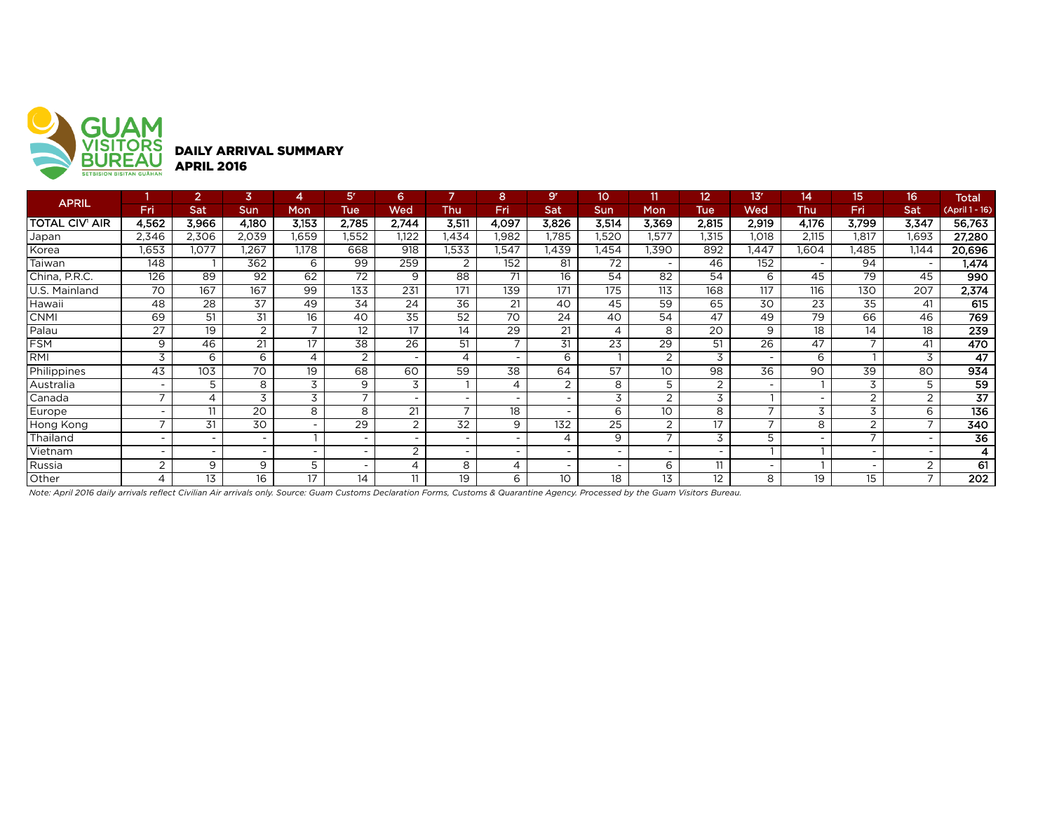

| <b>APRIL</b>   |                          |                          | 3                        |       | 5 <sup>r</sup>           | 6                        |                          | 8                        | 9 <sup>r</sup> | 10              | 11                       | 12                       | 13'                      | 14    | 15.            | 16                       | <b>Total</b>    |
|----------------|--------------------------|--------------------------|--------------------------|-------|--------------------------|--------------------------|--------------------------|--------------------------|----------------|-----------------|--------------------------|--------------------------|--------------------------|-------|----------------|--------------------------|-----------------|
|                | Fri                      | Sat                      | Sun                      | Mon   | <b>Tue</b>               | Wed                      | Thu                      | Fri                      | Sat            | <b>Sun</b>      | <b>Mon</b>               | <b>Tue</b>               | Wed                      | Thu   | <b>Fri</b>     | Sat                      | (April 1 - 16)  |
| TOTAL CIV' AIR | 4,562                    | 3,966                    | 4,180                    | 3,153 | 2,785                    | 2,744                    | 3,511                    | 4,097                    | 3,826          | 3,514           | 3,369                    | 2,815                    | 2,919                    | 4,176 | 3,799          | 3,347                    | 56,763          |
| Japan          | 2,346                    | 2,306                    | 2,039                    | 1,659 | .552                     | 1.122                    | 1,434                    | .982                     | .785           | 1,520           | 1.577                    | .315                     | 1,018                    | 2,115 | 1,817          | 1,693                    | 27,280          |
| Korea          | 1,653                    | .077                     | .267                     | 1,178 | 668                      | 918                      | 1,533                    | 1,547                    | l.439          | 1,454           | 1,390                    | 892                      | $\sqrt{447}$             | .604  | .485           | 1,144                    | 20,696          |
| Taiwan         | 148                      |                          | 362                      | 6     | 99                       | 259                      |                          | 152                      | 81             | 72              | $\overline{\phantom{0}}$ | 46                       | 152                      |       | 94             | $\overline{\phantom{a}}$ | 1,474           |
| China, P.R.C.  | 126                      | 89                       | 92                       | 62    | 72                       | 9                        | 88                       | 71                       | 16             | 54              | 82                       | 54                       | 6                        | 45    | 79             | 45                       | 990             |
| U.S. Mainland  | $\overline{70}$          | 167                      | 167                      | 99    | 133                      | 231                      | 171                      | 139                      | 171            | 175             | 113                      | 168                      | 117                      | 116   | 130            | 207                      | 2,374           |
| Hawaii         | 48                       | 28                       | 37                       | 49    | 34                       | 24                       | 36                       | 21                       | 40             | 45              | 59                       | 65                       | 30                       | 23    | 35             | 41                       | 615             |
| CNMI           | 69                       | 51                       | 31                       | 16    | 40                       | 35                       | 52                       | 70                       | 24             | 40              | 54                       | 47                       | 49                       | 79    | 66             | 46                       | 769             |
| Palau          | 27                       | 19                       | 2                        |       | 12                       | 17                       | 14                       | 29                       | 21             | 4               | 8                        | 20                       | 9                        | 18    | 14             | 18                       | 239             |
| <b>FSM</b>     | 9                        | 46                       | 21                       | 17    | 38                       | $\overline{26}$          | 51                       | $\overline{\phantom{0}}$ | 31             | $\overline{23}$ | 29                       | 51                       | 26                       | 47    |                | 41                       | 470             |
| RMI            | 3                        | 6                        | 6                        | 4     | 2                        |                          | 4                        |                          | 6              |                 | 2                        | 3                        | $\overline{\phantom{0}}$ | 6     |                | 3                        | 47              |
| Philippines    | 43                       | 103                      | 70                       | 19    | 68                       | 60                       | 59                       | 38                       | 64             | 57              | 10                       | 98                       | 36                       | 90    | 39             | 80                       | 934             |
| Australia      | $\overline{\phantom{a}}$ | 5                        | 8                        | 3     | 9                        | 3                        |                          | 4                        | $\overline{2}$ | 8               | 5                        | 2                        | $\overline{\phantom{0}}$ |       | 3              | 5                        | 59              |
| Canada         | $\overline{ }$           | 4                        | 3                        | 3     | $\overline{\phantom{0}}$ |                          |                          |                          |                | 3               | $\overline{2}$           | 3                        |                          |       | $\overline{2}$ | $\overline{2}$           | $\overline{37}$ |
| Europe         | $\overline{\phantom{0}}$ | 11                       | 20                       | 8     | 8                        | 21                       |                          | 18                       |                | 6               | 10                       | 8                        | $\overline{ }$           | 3     | 3              | 6                        | 136             |
| Hong Kong      | $\overline{\phantom{a}}$ | 31                       | 30                       |       | 29                       | $\overline{2}$           | 32                       | 9                        | 132            | 25              | 2                        | 17                       | $\overline{\phantom{0}}$ | 8     | 2              |                          | 340             |
| Thailand       | $\overline{\phantom{a}}$ | $\overline{\phantom{a}}$ | $\overline{\phantom{0}}$ |       |                          | $\overline{\phantom{0}}$ | $\overline{\phantom{0}}$ |                          | $\overline{A}$ | 9               | $\overline{ }$           | 3                        | 5                        |       | –              |                          | $\overline{36}$ |
| Vietnam        | $\overline{\phantom{a}}$ | $\overline{\phantom{a}}$ | $\sim$                   |       |                          | $\sim$<br>∠              | $\overline{\phantom{0}}$ |                          |                |                 |                          | $\overline{\phantom{0}}$ |                          |       |                |                          |                 |
| Russia         | 2                        | 9                        | 9                        | 5     |                          | 4                        | 8                        | 4                        |                |                 | 6                        | 11                       | $\overline{\phantom{0}}$ |       |                | $\overline{2}$           | 61              |
| Other          | 4                        | 13                       | 16                       | 17    | 14                       | 11                       | 19                       | 6                        | 10             | 18              | 13                       | 12                       | 8                        | 19    | 15             |                          | 202             |

*Note: April 2016 daily arrivals reflect Civilian Air arrivals only. Source: Guam Customs Declaration Forms, Customs & Quarantine Agency. Processed by the Guam Visitors Bureau.*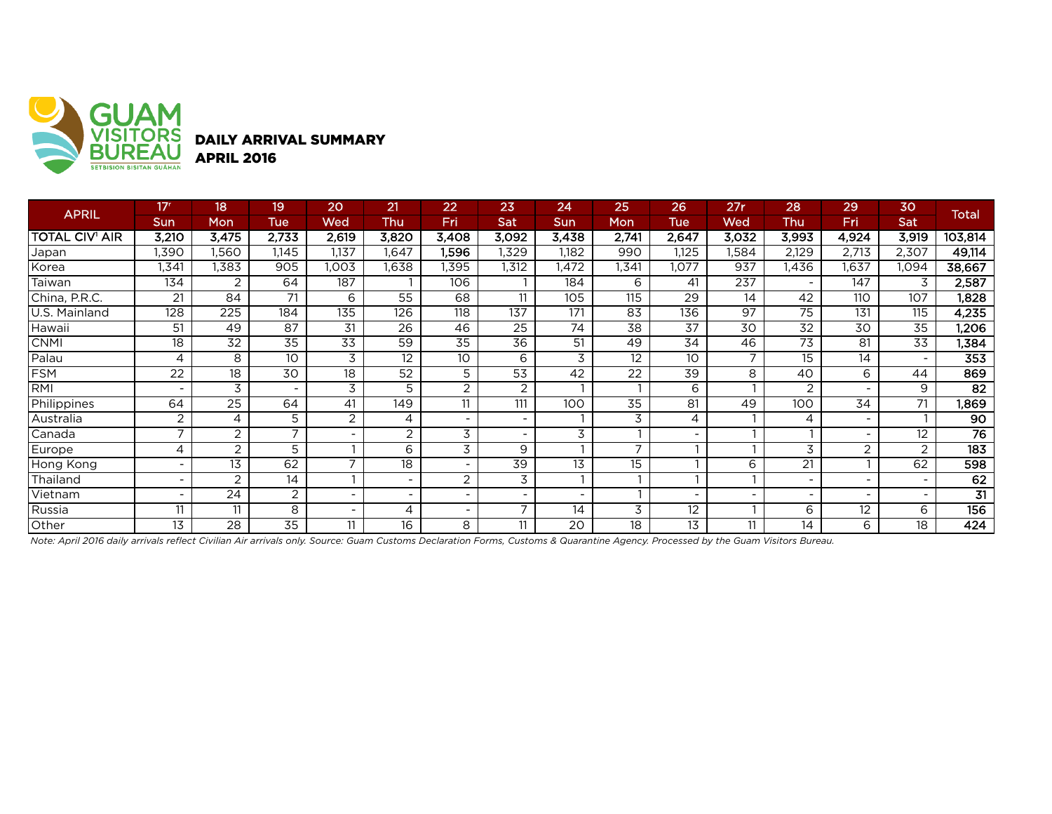

DAILY ARRIVAL SUMMARY

|                       | 17 <sup>r</sup>          | 18               | 19                       | 20    | 21                       | 22                       | 23                       | 24              | 25                       | 26              | 27r                      | 28                       | 29             | 30                       |                  |
|-----------------------|--------------------------|------------------|--------------------------|-------|--------------------------|--------------------------|--------------------------|-----------------|--------------------------|-----------------|--------------------------|--------------------------|----------------|--------------------------|------------------|
| <b>APRIL</b>          | Sun                      | Mon              | Tue                      | Wed   | <b>Thu</b>               | Fri                      | Sat                      | <b>Sun</b>      | Mon                      | Tue             | Wed                      | Thu                      | Fri            | Sat                      | <b>Total</b>     |
| <b>TOTAL CIV' AIR</b> | 3,210                    | 3,475            | 2,733                    | 2,619 | 3,820                    | 3,408                    | 3,092                    | 3,438           | 2,741                    | 2,647           | 3,032                    | 3,993                    | 4,924          | 3,919                    | 103,814          |
| Japan                 | 1,390                    | 1,560            | 1,145                    | 1,137 | 1,647                    | 1,596                    | ,329                     | 1,182           | 990                      | 1,125           | 1,584                    | 2,129                    | 2,713          | 2,307                    | 49,114           |
| Korea                 | ,341                     | 1,383            | 905                      | ,003  | ,638                     | 1,395                    | 1,312                    | 1,472           | ,341                     | 1,077           | 937                      | ,436                     | 1,637          | 1,094                    | 38,667           |
| Taiwan                | 134                      | 2                | 64                       | 187   |                          | 106                      |                          | 184             | 6                        | 41              | 237                      | $\overline{\phantom{a}}$ | 147            | 3                        | 2,587            |
| China, P.R.C.         | 21                       | 84               | 71                       | 6     | 55                       | 68                       | 11                       | 105             | 115                      | 29              | 14                       | 42                       | 110            | 107                      | 1,828            |
| U.S. Mainland         | 128                      | $\overline{225}$ | 184                      | 135   | 126                      | 118                      | 137                      | 171             | 83                       | 136             | 97                       | 75                       | 131            | 115                      | 4,235            |
| Hawaii                | 51                       | 49               | 87                       | 31    | $\overline{26}$          | 46                       | $\overline{25}$          | $\overline{74}$ | $\overline{38}$          | $\overline{37}$ | $\overline{30}$          | $\overline{32}$          | 30             | 35                       | ,206             |
| <b>CNMI</b>           | 18                       | 32               | 35                       | 33    | 59                       | 35                       | 36                       | 51              | 49                       | 34              | 46                       | 73                       | 81             | 33                       | 1,384            |
| Palau                 | 4                        | 8                | 10                       | 3     | 12                       | 10                       | 6                        | 3               | 12                       | 10              | $\overline{ }$           | $\overline{15}$          | 14             | $\overline{\phantom{0}}$ | 353              |
| <b>FSM</b>            | 22                       | 18               | 30                       | 18    | 52                       | 5                        | 53                       | 42              | 22                       | 39              | 8                        | 40                       | 6              | 44                       | 869              |
| <b>RMI</b>            |                          | 3                | $\overline{\phantom{0}}$ | 3     | 5                        | $\overline{c}$           | $\overline{c}$           |                 |                          | 6               |                          | 2                        |                | 9                        | $\overline{82}$  |
| Philippines           | 64                       | $\overline{25}$  | 64                       | 41    | 149                      | 11                       | 111                      | 100             | $\overline{35}$          | 81              | 49                       | 100                      | 34             | 71                       | 1,869            |
| Australia             | 2                        | $\overline{4}$   | 5                        | 2     | 4                        | $\overline{\phantom{a}}$ | $\sim$                   |                 | 3                        | 4               |                          | 4                        |                |                          | $\overline{90}$  |
| Canada                | $\overline{\phantom{a}}$ | $\overline{c}$   | $\overline{ }$           |       | $\overline{2}$           | 3                        | $\blacksquare$           | 3               |                          |                 |                          |                          |                | 12 <sup>2</sup>          | $\overline{76}$  |
| Europe                | 4                        | $\overline{c}$   | 5                        |       | 6                        | 3                        | 9                        |                 | $\overline{\phantom{0}}$ |                 |                          | 3                        | $\overline{2}$ | 2                        | $\overline{183}$ |
| Hong Kong             |                          | 13               | 62                       |       | 18                       | ۰                        | 39                       | 13              | 15                       |                 | 6                        | 21                       |                | 62                       | 598              |
| Thailand              | $\overline{\phantom{0}}$ | 2                | 14                       |       | $\overline{\phantom{0}}$ | $\overline{2}$           | 3                        |                 |                          |                 |                          | $\overline{\phantom{a}}$ |                | $\sim$                   | 62               |
| Vietnam               | $\overline{\phantom{0}}$ | 24               | $\overline{2}$           |       | $\overline{\phantom{a}}$ | Ξ.                       | $\overline{\phantom{a}}$ |                 |                          |                 | $\overline{\phantom{a}}$ | $\overline{\phantom{0}}$ |                | $\blacksquare$           | $\overline{31}$  |
| Russia                |                          | 11               | 8                        |       | 4                        | $\overline{\phantom{0}}$ | ⇁                        | 14              | 3                        | 12              |                          | 6                        | 12             | 6                        | 156              |
| Other                 | 13                       | 28               | $\overline{35}$          | 11    | 16                       | 8                        | 11                       | 20              | 18                       | 13              | 11                       | 14                       | 6              | 18                       | 424              |

*Note: April 2016 daily arrivals reflect Civilian Air arrivals only. Source: Guam Customs Declaration Forms, Customs & Quarantine Agency. Processed by the Guam Visitors Bureau.*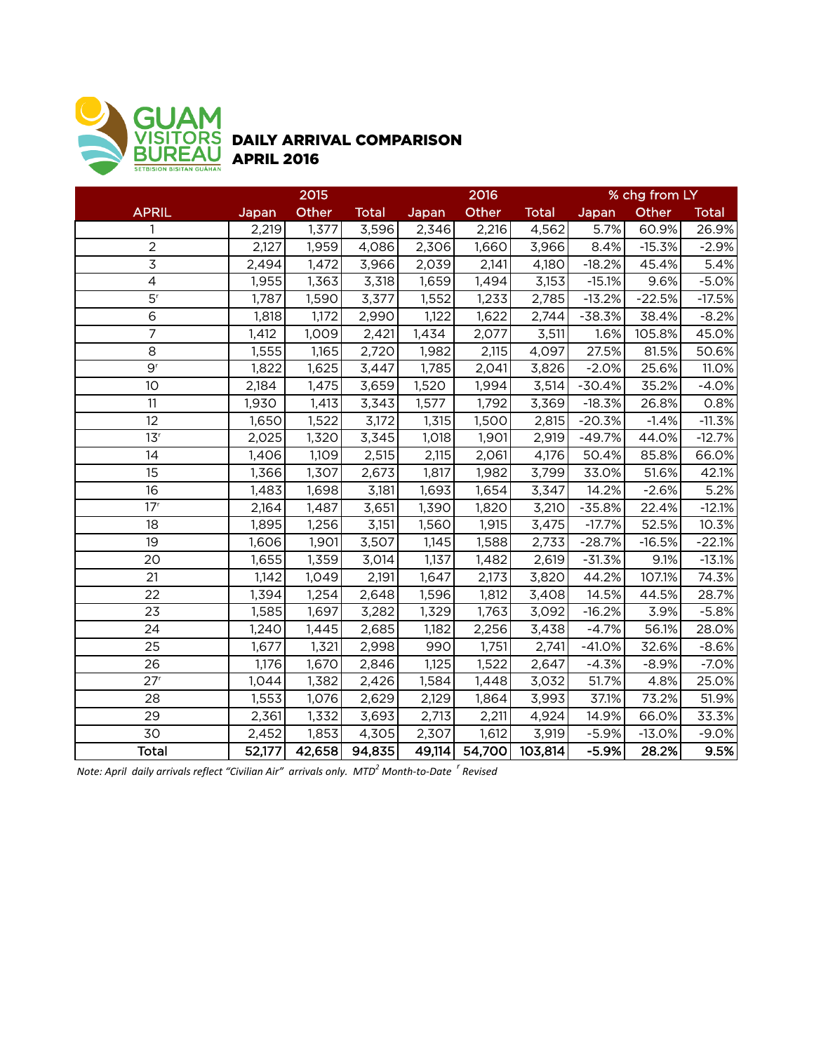

## DAILY ARRIVAL COMPARISON APRIL 2016

|                             | 2015   |                       |        |        | 2016   |              | % chg from LY |          |              |  |
|-----------------------------|--------|-----------------------|--------|--------|--------|--------------|---------------|----------|--------------|--|
| <b>APRIL</b>                | Japan  | Other<br><b>Total</b> |        | Japan  | Other  | <b>Total</b> | Japan         | Other    | <b>Total</b> |  |
|                             | 2,219  | 1,377                 | 3,596  | 2,346  | 2,216  | 4,562        | 5.7%          | 60.9%    | 26.9%        |  |
| $\overline{c}$              | 2,127  | 1,959                 | 4,086  | 2,306  | 1,660  | 3,966        | 8.4%          | $-15.3%$ | $-2.9%$      |  |
| $\mathfrak{Z}$              | 2,494  | 1,472                 | 3,966  | 2,039  | 2,141  | 4,180        | $-18.2%$      | 45.4%    | 5.4%         |  |
| $\overline{4}$              | 1,955  | 1,363                 | 3,318  | 1,659  | 1,494  | 3,153        | $-15.1%$      | 9.6%     | $-5.0%$      |  |
| $\overline{5}$ <sup>r</sup> | 1,787  | 1,590                 | 3,377  | 1,552  | 1,233  | 2,785        | $-13.2%$      | $-22.5%$ | $-17.5%$     |  |
| $\overline{6}$              | 1,818  | 1,172                 | 2,990  | 1,122  | 1,622  | 2,744        | $-38.3%$      | 38.4%    | $-8.2%$      |  |
| $\overline{7}$              | 1,412  | 1,009                 | 2,421  | 1,434  | 2,077  | 3,511        | 1.6%          | 105.8%   | 45.0%        |  |
| 8                           | 1,555  | 1,165                 | 2,720  | 1,982  | 2,115  | 4,097        | 27.5%         | 81.5%    | 50.6%        |  |
| 9 <sup>r</sup>              | 1,822  | 1,625                 | 3,447  | 1,785  | 2,041  | 3,826        | $-2.0%$       | 25.6%    | 11.0%        |  |
| 10                          | 2,184  | 1,475                 | 3,659  | 1,520  | 1,994  | 3,514        | $-30.4%$      | 35.2%    | $-4.0%$      |  |
| 11                          | 1,930  | 1,413                 | 3,343  | 1,577  | 1,792  | 3,369        | $-18.3%$      | 26.8%    | 0.8%         |  |
| 12                          | 1,650  | 1,522                 | 3,172  | 1,315  | 1,500  | 2,815        | $-20.3%$      | $-1.4%$  | $-11.3%$     |  |
| 13 <sup>r</sup>             | 2,025  | 1,320                 | 3,345  | 1,018  | 1,901  | 2,919        | $-49.7%$      | 44.0%    | $-12.7%$     |  |
| 14                          | 1,406  | 1,109                 | 2,515  | 2,115  | 2,061  | 4,176        | 50.4%         | 85.8%    | 66.0%        |  |
| 15                          | 1,366  | 1,307                 | 2,673  | 1,817  | 1,982  | 3,799        | 33.0%         | 51.6%    | 42.1%        |  |
| 16                          | 1,483  | 1,698                 | 3,181  | 1,693  | 1,654  | 3,347        | 14.2%         | $-2.6%$  | 5.2%         |  |
| 17 <sup>r</sup>             | 2,164  | 1,487                 | 3,651  | 1,390  | 1,820  | 3,210        | $-35.8%$      | 22.4%    | $-12.1%$     |  |
| 18                          | 1,895  | 1,256                 | 3,151  | 1,560  | 1,915  | 3,475        | $-17.7%$      | 52.5%    | 10.3%        |  |
| 19                          | 1,606  | 1,901                 | 3,507  | 1,145  | 1,588  | 2,733        | $-28.7%$      | $-16.5%$ | $-22.1%$     |  |
| 20                          | 1,655  | 1,359                 | 3,014  | 1,137  | 1,482  | 2,619        | $-31.3%$      | 9.1%     | $-13.1%$     |  |
| 21                          | 1,142  | 1,049                 | 2,191  | 1,647  | 2,173  | 3,820        | 44.2%         | 107.1%   | 74.3%        |  |
| 22                          | 1,394  | 1,254                 | 2,648  | 1,596  | 1,812  | 3,408        | 14.5%         | 44.5%    | 28.7%        |  |
| 23                          | 1,585  | 1,697                 | 3,282  | 1,329  | 1,763  | 3,092        | $-16.2%$      | 3.9%     | $-5.8%$      |  |
| 24                          | 1,240  | 1,445                 | 2,685  | 1,182  | 2,256  | 3,438        | $-4.7%$       | 56.1%    | 28.0%        |  |
| 25                          | 1,677  | 1,321                 | 2,998  | 990    | 1,751  | 2,741        | $-41.0%$      | 32.6%    | $-8.6%$      |  |
| 26                          | 1,176  | 1,670                 | 2,846  | 1,125  | 1,522  | 2,647        | $-4.3%$       | $-8.9%$  | $-7.0%$      |  |
| 27 <sup>r</sup>             | 1,044  | 1,382                 | 2,426  | 1,584  | 1,448  | 3,032        | 51.7%         | 4.8%     | 25.0%        |  |
| 28                          | 1,553  | 1,076                 | 2,629  | 2,129  | 1,864  | 3,993        | 37.1%         | 73.2%    | 51.9%        |  |
| 29                          | 2,361  | 1,332                 | 3,693  | 2,713  | 2,211  | 4,924        | 14.9%         | 66.0%    | 33.3%        |  |
| 30                          | 2,452  | 1,853                 | 4,305  | 2,307  | 1,612  | 3,919        | $-5.9%$       | $-13.0%$ | $-9.0%$      |  |
| <b>Total</b>                | 52,177 | 42,658                | 94,835 | 49,114 | 54,700 | 103,814      | $-5.9%$       | 28.2%    | 9.5%         |  |

*Note: April daily arrivals reflect "Civilian Air" arrivals only. MTD<sup>2</sup> Month-to-Date <sup>r</sup> Revised*